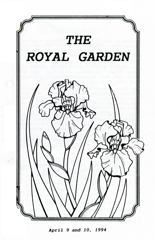

*April* 9 and *10, 1994*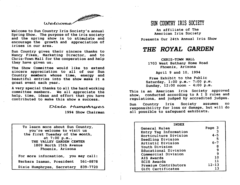

Welcome to Sun Country Iris Society's annual Spring Show. The purpose of the iris society and the spring show is to stimulate and encourage the growth and appreciation of irises in our area.

Sun Country gives their sincere thanks to Nancy Fikes, Marketing Director, and to Chris-Town Mall for the cooperation and help they have given us.

The Show Committee would like to extend sincere appreciation to all of our Sun Country members whose time, energy and beautiful entries into the show make it a great event each year.

A very special thanks to all the hard working committee members. We all appreciate the help, time, ideas and effort that you have contributed to make this show a success.

Dixie Humphryes

1994 Show Chairman

To learn more about Sun Country, you're welcome to visit us the first Tuesday of the month, at  $7:00$  p.m., THE VALLEY GARDEN CENTER 1809 North 15th Avenue Phoenix, Arizona

For more information, you may call: Barbara Isaman, President 561-8878 Dixie Humphryes, Secretary 839-7720

# SUN COUNTRY IRIS SOCIETY

An affiliate of The American Iris Society

Presents Our 24th Annual Iris Show

# *THE ROYAL GARDEN*

CHRIS-TOWN MALL 1703 West Bethany Home Road

Phoenix, Arizona

April 9 and 10, 1994

Free Exhibit to the Public Saturday, 1:00 p.m.- 7:00 p.m. Sunday, 12:00 noon - 4:00 p.m.

This is an American Iris Society approved show, conducted according to A I S rules and regulations, and judged by accredited judges.

Sun Country Iris Society assumes no responsibility for loss or damage, but will do all possible to safeguard exhibists.

| <b>INDEX</b>          |           |
|-----------------------|-----------|
| General Rules         | Page 3    |
| Entry Tag Information |           |
| Horticulture Division | $4 - 5$   |
| Seedling Division     | 5         |
| Artistic Division     | $6 - 7$   |
| Youth Division        | 8         |
| Educational Division  | 9         |
| Commercial Division   | 9         |
| <b>AIS Awards</b>     | 10        |
| <b>SCIS Awards</b>    | 11        |
| Premium Contributors  | $12 - 13$ |
| Gift Certificates     | 13        |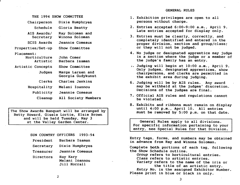THE 1994 SHOW COMMITTEE Chairperson Schedule AIS Awards/ Secretary SCIS Awards Properties/Set-up Placement: Horticulture Artistic Artistic Concepts Judges Clerks Hospitality Publicity Cleanup Dixie Humphryes Gloria Beatty Ray Soloman and Winona Soloman Jeannie Comeaux Show Committee John Comer Barbara Isaman Show Committee Marge Larsen and Georgia Gudykunst Charles Jenkins Melani Ioannou Jeannie Comeaux All Society Members

The Show Awards Banquet will be arranged by Betty Howard, Gisele Lortie, Elsie Brown and will be held Tuesday, May 3 at the Valley Garden Center.

| SUN COUNTRY OFFICERS | 1993-94                                    |
|----------------------|--------------------------------------------|
| President            | Barbara Isaman                             |
| Secretary            | Dixie Humphryes                            |
| Treasurer            | Jeannie Comeaux                            |
| Directors            | Ray Kary<br>Melani Ioannou<br>Jill Horrall |

- 1. Exhibition privileges are open to all persons without charge.
- 2. Entries accepted 6:00-9:00 a.m., April 9. Late entries accepted for display only.
- 3. Entries must be clearly, correctly, and completely identified and entered in the proper division, section and group/class; or they will not be judged.
- 4. No judge or designated apprentice may judge in a section where the judge or a member of the judge's family has an entry.
- *J.* Judging will begin at 10:00 a.m., April 9. Only judges, designated apprentices, show chairpersons, and clerks are permitted in the exhibit area during judging.
- 6. Judging will be by AIS rules. Any award may be withheld at the judges' discretion. Decisions of the judges are final.
- 7. Official AIS rules and regulations cannot be violated.
- 8. Exhibits and ribbons must remain on display until 4:00 p.m., April 10. All entries must be removed by 5:00 p.m. on that date.

General Rules apply to all divisions. For specific information pertaining to your entry, see Special Rules for that Division.

Entry tags, forms, and numbers may be obtained in advance from Ray and Winona Soloman.

Complete both portions of each tag, following the Show Schedule outline.

Group refers to horticultural entries.

Class refers to artistic entries.

*Variety* refers to the name of the iris or the title of an artistic entry.

*Entry* No. is the assigned Exhibitor Number. Please print in blue or black in only.

2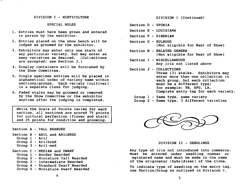## DIVISION I - HORTICULTURE

#### SPECIAL RULES

- 1. Entries must have been grown and entered in person by the exhibitor.
- 2. Entries placed on the show bench will be judged as groomed by the exhibitor.
- 3. Exhibitors may enter only one stalk of any particular variety, but may enter as many varieties as desired. (Collections are excepted; see Section J.)
- 4. Display containers will be furnished by the Show Committee.
- 5. Single specimen entries will be placed in alphabetical order of variety name within sections/groups. Each variety (cultivar) is a separate class for judging.
- 6. Faded stalks may be groomed or removed by the Show Committee or the exhibitor anytime after the judging is completed.

While the Scale of Points varies for each section, all sections are scored 75 points for cultural perfection (flower and stalk) and 25 points for condition and grooming.

Section A - TALL BEARDED

Section B - ARIL and ARILBRED Group 1 - Aril

- 
- Group 2 Arilbred
- Group 3 Aril-med

Section C - MEDIAN and DWARF

- Group 1 Border Bearded
- Group 2 Miniature Tall Bearded
- Group 3 Intermediate Bearded
- Group 4 Standard Dwarf Bearded
- Group 5 Miniature Dwarf Bearded

DIVISION I (Continued)

- Section 0 SPURIA
- Section E LOUISIANA
- Section F SIBERIAN
- Section G BULBOUS (Not eligible for Best of Show)
- Section H RELATED GENERA (Not eligible for Best of Show)
- Section I MISCELLANEOUS Any iris not listed above
- Section J COLLECTIONS Three (3) stalks. Exhibitors may enter more than one collection in each group, but each collection must be a different type; for example: TB, SPU, LA. Complete entry tag for each variety.
	- Group 1 Same type, same variety Group 2 - Same type, 3 different varieties



DIVISION II - SEEDLINGS

Any type of iris not introduced into commerce. Must be entered under seedling number or 'egistered name and must be made in the name of the originator (hybridizer) of the clone.

To indicate type of seedling on the entry tag, use Section/Group as outlined in Division I.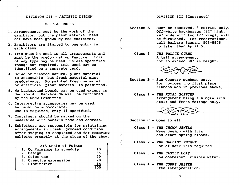## DIVISION III - ARTISTIC DESIGN

## SPECIAL RULES

- 1. Arrangements must be the work of the exhibitor, but the plant material need not have been grown by the exhibitor.
- 2. Exhibitors are limited to one entry in each class.
- 3. Iris must be used in all arrangements and must be the predominating feature. Iris of any type may be used, unless specified. Though not required, iris used may be identified on a separate card.
- 4. Dried or treated natural plant material is acceptable, but fresh material must predominate. No painted fresh material or artificial plant material is permitted.
- 5. No background boards may be used except in Section A. Backboards will be furnished by the Show Committee.
- 6. Interpretive accessories may be used, but must be subordinate. Use is required, only if specified.
- 7. Containers should be marked on the underside with owner's name and address.
- 8. Exhibitors are responsible for maintaining arrangements in fresh, groomed condition after judging is completed and for removing exhibits promptly at the close of the show.

| AIS Scale of Points        |    |
|----------------------------|----|
| 1. Conformance to schedule | 10 |
| 2. Design                  | 35 |
| 3. Color use               | 20 |
| 4. Creative expression     | 20 |
| 5. Distinction             | 15 |
|                            |    |

## DIVISION III (Continued)

- Section A Must be reserved, 8 entries only. Off-white backboards (32" high, 24" wide with two 12" wings) will be furnished. For reservations, call Barbara Isaman, 561-8878, no later than April 5.
	- Class 1 *THE PALACE GUARD*  A tall arrangement, not to exceed 30" in height.



- Section B Sun Country members only. For novices (no first place ribbons won in previous shows).
	- Class 1 *THE ROYAL SCEPTER*  Arrangement using a single iris stalk and fresh foliage only.



Section C - Open to all.

*t* 

- Class 1 *THE CROWN JEWELS*  Mass design with iris and other spring blooms.
- Class 2 *THE GALLANT KNIGHT*  Use of dark iris required.
- Class 3 *THE CASTLE MOAT*  Low container, visible water.
- Class 4 *THE COURT JESTER*  Free interpretation.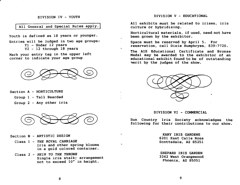# DIVISION IV - YOUTH

All General and Special Rules apply.

Youth is defined as 18 years or younger.

Entries will be judged in two age groups: Yl - Under 12 years Y2 - 12 through 18 years

Mark your entry tag in the upper left corner to indicate your age group,



Section A - HORTICULTURE

Group 1 - Tall Bearded

Group 2 - Any other iris



- Section B ARTISTIC DESIGN
	- Class 1 *THE ROYAL CARRIAGE*  Iris and other spring blooms in a gold colored container.
	- Class 2 *HEIR* TO *THB THRONE*  Single iris stalk; arrangement not to exceed 10" in height.

DIVISION V - EDUCATIONAL

All exhibits must be related to irises, iris culture or hybridizing.

Horticultural materials, if used, need not have been grown by the exhibitor.

Space must be reserved by April 5. For reservation, call Dixie Humphryes, 839-7720.

The AIS Educational Certificate and Bronze Medal may be awarded to the exhibitor of an educational exhibit found to be of outstanding ~erit by the judges of the show.



#### DIVISION VI - COMMERCIAL

Sun Country Iris Society acknowledges the following for their contributions to our show.

> KARY IRIS GARDENS 6201 East Calle Rosa Scottsdale, AZ 85251

> SHEPARD IRIS GARDEN 3342 West Orangewood Phoenix, AZ 85051

8

9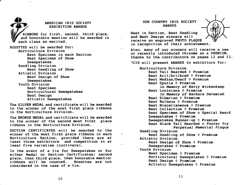AMERICAN IRIS SOCIETY<br>EXHIBITION AWARDS RIBBONS for first, second, third place,<br>and honorable mention will be awarded in<br>each class as merited. and honorable mention will be awarded in each class as merited. ROSETTES will be awarded for: Horticulture Division Best Specimen in each Section Best Specimen of Show Sweepstakes Seedling Division Best Seedling of Show Artistic Division Best Design of Show Sweepstakes Youth Division Best Specimen Horticultural Sweepstakes Best Design Artistic Sweepstakes

The SILVER MEDAL and certificate will be awarded to the winner of the most first place ribbons in the Horticulture Division.

The BRONZE MEDAL and certificate will be awarded to the winner of the second most first place ribbons in the Horticulture Division.

SECTION CERTIFICATES will be awarded to the winner of the most first place ribbons in each Horticulture Section, provided there are at least three exhibitors and competition in at least five varieties (cultivars).

s.

In the event of a tie for Sweepstakes or for ei ther Medal or Section Certificates; second place, then third place, then honorable mentior ribbons will be counted. Rosettes are not considered in the case of a tie.

# SUN COUNTRY IRIS SOCIETY AWARDS



Best in Section, Best Seedling and Best Design winners will receive an engraved PHOTO PLAQUE in recognition of their achievement.

Also, many of our winners will receive a new or recently introduced rhizome as a PREMIUM, thanks to the contributors on pages 12 and 13.

~CIS will present AWARDS to exhibitors for:

Horticulture Division Best Tall Bearded  $\Diamond$  Premium Best Aril/Arilbred  $\Diamond$  Premium Best Median/Dwarf  $\Diamond$  Premium Best Spuria  $\Diamond$  Premium *In* Memory of Betty Wickenkamp Best Louisiana  $\Diamond$  Premium *In* Memory of Barbara *Deremiah*  Best Siberian  $\Diamond$  Premium Best Bulbous  $\Diamond$  Premium Best Miscellaneous 0 Premium Best Collection  $\Diamond$  Premium Best Specimen of Show a Special Award Sweepstakes  $\Diamond$  Premium Sweepstakes Runner-up 0 Premium Best Black Tall Bearded 0 Foster *Try Perpetual Memorial* Plaque Seedling Division Best Seedling of Show 0 Premium Artistic Division Best Design of Show  $\Diamond$  Premium Sweepstakes  $\Diamond$  Premium Youth Division Best Specimen  $\Diamond$  Premium Horticultural Sweepstakes  $\Diamond$  Premium Best Design 0 Premium Artistic Sweepstakes  $\Diamond$  Premium